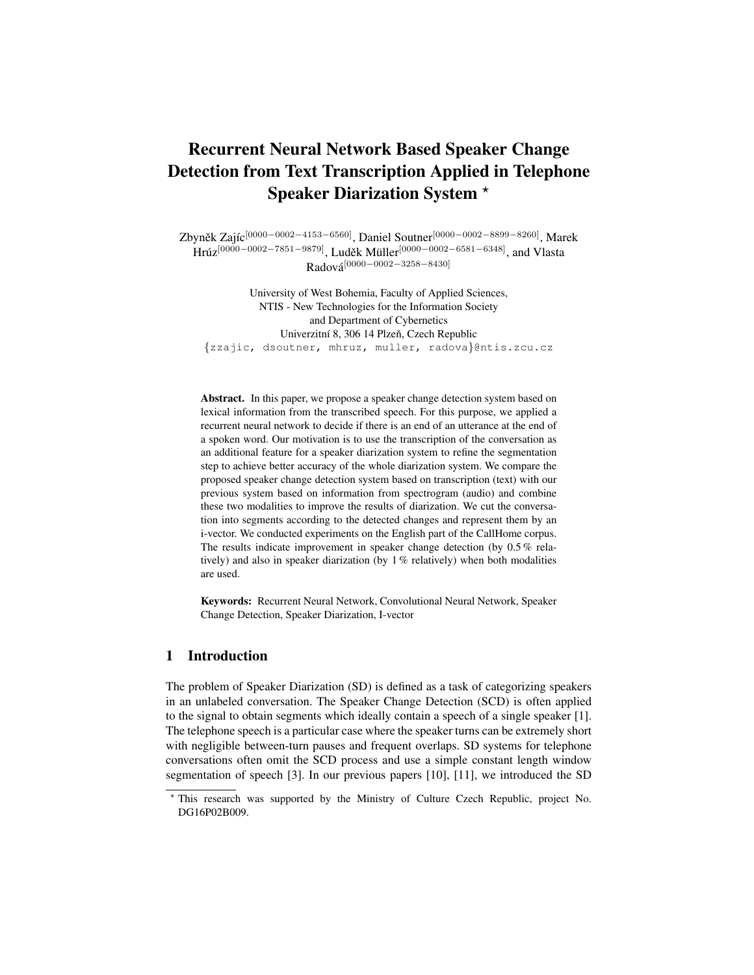# Recurrent Neural Network Based Speaker Change Detection from Text Transcription Applied in Telephone Speaker Diarization System \*

Zbyněk Zajíc<sup>[0000–0002–4153–6560]</sup>, Daniel Soutner<sup>[0000–0002–8899–8260]</sup>, Marek Hrúz $^{[0000-0002-7851-9879]},$  Luděk Müller $^{[0000-0002-6581-6348]},$  and Vlasta Radová<sup>[0000−0002−3258−8430]</sup>

University of West Bohemia, Faculty of Applied Sciences, NTIS - New Technologies for the Information Society and Department of Cybernetics Univerzitní 8, 306 14 Plzeň, Czech Republic {zzajic, dsoutner, mhruz, muller, radova}@ntis.zcu.cz

Abstract. In this paper, we propose a speaker change detection system based on lexical information from the transcribed speech. For this purpose, we applied a recurrent neural network to decide if there is an end of an utterance at the end of a spoken word. Our motivation is to use the transcription of the conversation as an additional feature for a speaker diarization system to refine the segmentation step to achieve better accuracy of the whole diarization system. We compare the proposed speaker change detection system based on transcription (text) with our previous system based on information from spectrogram (audio) and combine these two modalities to improve the results of diarization. We cut the conversation into segments according to the detected changes and represent them by an i-vector. We conducted experiments on the English part of the CallHome corpus. The results indicate improvement in speaker change detection (by 0.5 % relatively) and also in speaker diarization (by 1 % relatively) when both modalities are used.

Keywords: Recurrent Neural Network, Convolutional Neural Network, Speaker Change Detection, Speaker Diarization, I-vector

# 1 Introduction

The problem of Speaker Diarization (SD) is defined as a task of categorizing speakers in an unlabeled conversation. The Speaker Change Detection (SCD) is often applied to the signal to obtain segments which ideally contain a speech of a single speaker [1]. The telephone speech is a particular case where the speaker turns can be extremely short with negligible between-turn pauses and frequent overlaps. SD systems for telephone conversations often omit the SCD process and use a simple constant length window segmentation of speech [3]. In our previous papers [10], [11], we introduced the SD

<sup>?</sup> This research was supported by the Ministry of Culture Czech Republic, project No. DG16P02B009.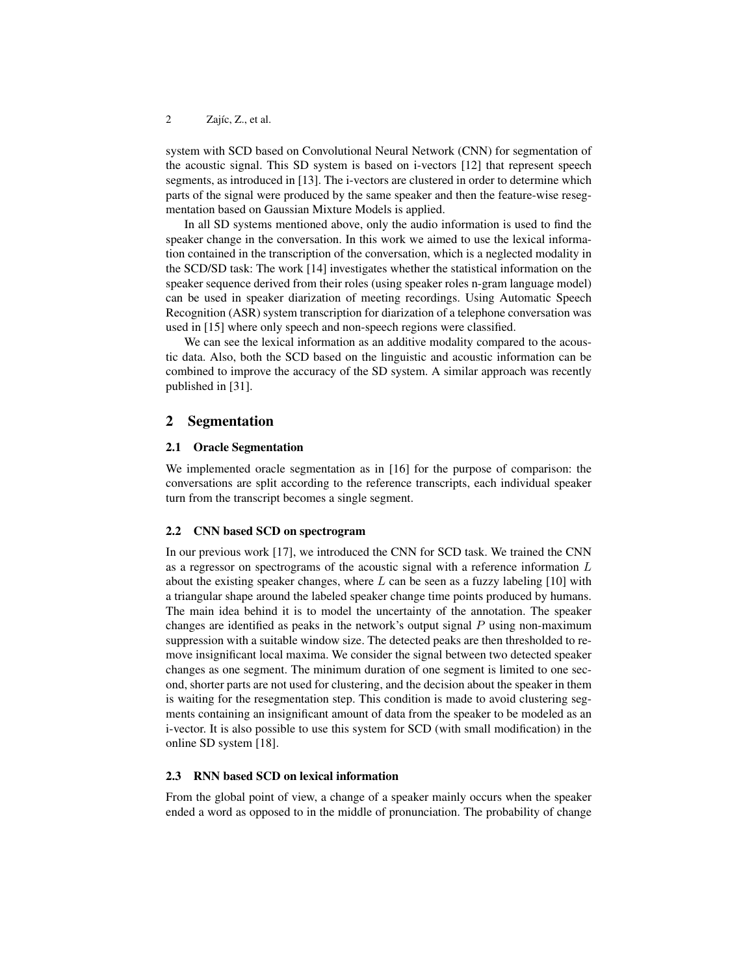2 Zajíc, Z., et al.

system with SCD based on Convolutional Neural Network (CNN) for segmentation of the acoustic signal. This SD system is based on i-vectors [12] that represent speech segments, as introduced in [13]. The i-vectors are clustered in order to determine which parts of the signal were produced by the same speaker and then the feature-wise resegmentation based on Gaussian Mixture Models is applied.

In all SD systems mentioned above, only the audio information is used to find the speaker change in the conversation. In this work we aimed to use the lexical information contained in the transcription of the conversation, which is a neglected modality in the SCD/SD task: The work [14] investigates whether the statistical information on the speaker sequence derived from their roles (using speaker roles n-gram language model) can be used in speaker diarization of meeting recordings. Using Automatic Speech Recognition (ASR) system transcription for diarization of a telephone conversation was used in [15] where only speech and non-speech regions were classified.

We can see the lexical information as an additive modality compared to the acoustic data. Also, both the SCD based on the linguistic and acoustic information can be combined to improve the accuracy of the SD system. A similar approach was recently published in [31].

# 2 Segmentation

#### 2.1 Oracle Segmentation

We implemented oracle segmentation as in [16] for the purpose of comparison: the conversations are split according to the reference transcripts, each individual speaker turn from the transcript becomes a single segment.

#### 2.2 CNN based SCD on spectrogram

In our previous work [17], we introduced the CNN for SCD task. We trained the CNN as a regressor on spectrograms of the acoustic signal with a reference information L about the existing speaker changes, where  $L$  can be seen as a fuzzy labeling [10] with a triangular shape around the labeled speaker change time points produced by humans. The main idea behind it is to model the uncertainty of the annotation. The speaker changes are identified as peaks in the network's output signal  $P$  using non-maximum suppression with a suitable window size. The detected peaks are then thresholded to remove insignificant local maxima. We consider the signal between two detected speaker changes as one segment. The minimum duration of one segment is limited to one second, shorter parts are not used for clustering, and the decision about the speaker in them is waiting for the resegmentation step. This condition is made to avoid clustering segments containing an insignificant amount of data from the speaker to be modeled as an i-vector. It is also possible to use this system for SCD (with small modification) in the online SD system [18].

#### 2.3 RNN based SCD on lexical information

From the global point of view, a change of a speaker mainly occurs when the speaker ended a word as opposed to in the middle of pronunciation. The probability of change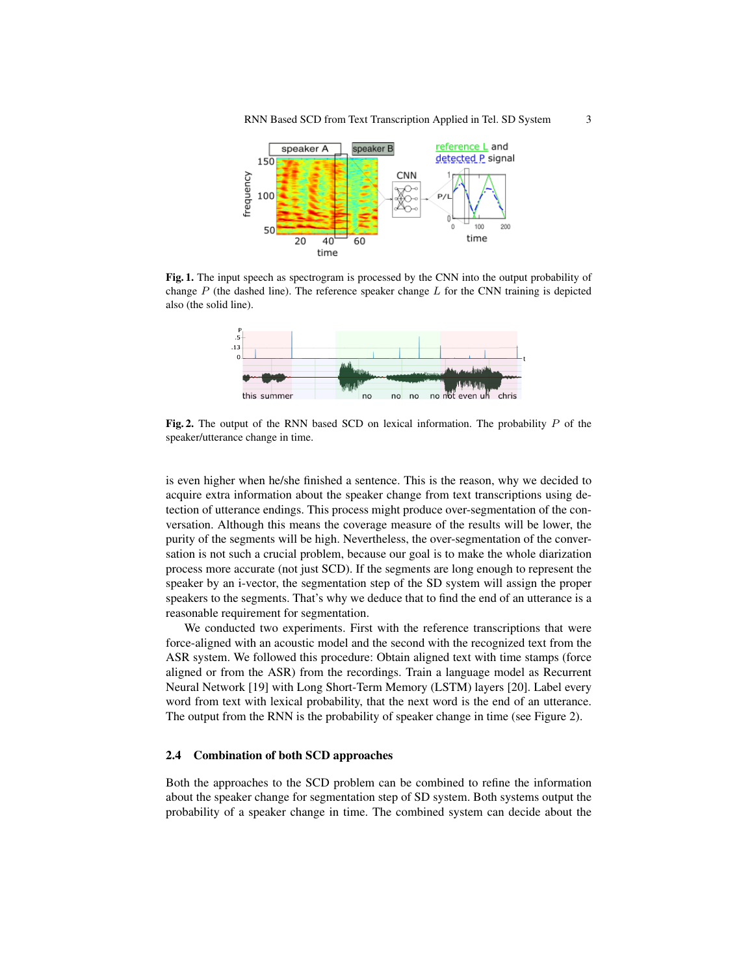

Fig. 1. The input speech as spectrogram is processed by the CNN into the output probability of change  $P$  (the dashed line). The reference speaker change  $L$  for the CNN training is depicted also (the solid line).



Fig. 2. The output of the RNN based SCD on lexical information. The probability  $P$  of the speaker/utterance change in time.

is even higher when he/she finished a sentence. This is the reason, why we decided to acquire extra information about the speaker change from text transcriptions using detection of utterance endings. This process might produce over-segmentation of the conversation. Although this means the coverage measure of the results will be lower, the purity of the segments will be high. Nevertheless, the over-segmentation of the conversation is not such a crucial problem, because our goal is to make the whole diarization process more accurate (not just SCD). If the segments are long enough to represent the speaker by an i-vector, the segmentation step of the SD system will assign the proper speakers to the segments. That's why we deduce that to find the end of an utterance is a reasonable requirement for segmentation.

We conducted two experiments. First with the reference transcriptions that were force-aligned with an acoustic model and the second with the recognized text from the ASR system. We followed this procedure: Obtain aligned text with time stamps (force aligned or from the ASR) from the recordings. Train a language model as Recurrent Neural Network [19] with Long Short-Term Memory (LSTM) layers [20]. Label every word from text with lexical probability, that the next word is the end of an utterance. The output from the RNN is the probability of speaker change in time (see Figure 2).

#### 2.4 Combination of both SCD approaches

Both the approaches to the SCD problem can be combined to refine the information about the speaker change for segmentation step of SD system. Both systems output the probability of a speaker change in time. The combined system can decide about the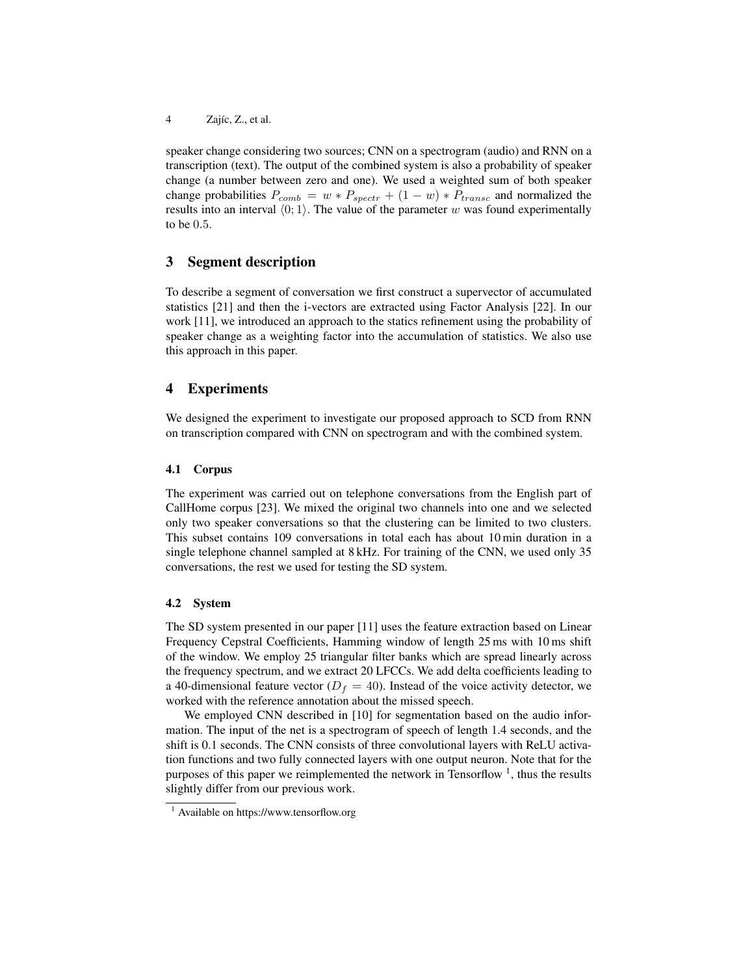speaker change considering two sources; CNN on a spectrogram (audio) and RNN on a transcription (text). The output of the combined system is also a probability of speaker change (a number between zero and one). We used a weighted sum of both speaker change probabilities  $P_{comb} = w * P_{spectr} + (1 - w) * P_{transc}$  and normalized the results into an interval  $(0; 1)$ . The value of the parameter w was found experimentally to be 0.5.

# 3 Segment description

To describe a segment of conversation we first construct a supervector of accumulated statistics [21] and then the i-vectors are extracted using Factor Analysis [22]. In our work [11], we introduced an approach to the statics refinement using the probability of speaker change as a weighting factor into the accumulation of statistics. We also use this approach in this paper.

# 4 Experiments

We designed the experiment to investigate our proposed approach to SCD from RNN on transcription compared with CNN on spectrogram and with the combined system.

#### 4.1 Corpus

The experiment was carried out on telephone conversations from the English part of CallHome corpus [23]. We mixed the original two channels into one and we selected only two speaker conversations so that the clustering can be limited to two clusters. This subset contains 109 conversations in total each has about 10 min duration in a single telephone channel sampled at 8 kHz. For training of the CNN, we used only 35 conversations, the rest we used for testing the SD system.

### 4.2 System

The SD system presented in our paper [11] uses the feature extraction based on Linear Frequency Cepstral Coefficients, Hamming window of length 25 ms with 10 ms shift of the window. We employ 25 triangular filter banks which are spread linearly across the frequency spectrum, and we extract 20 LFCCs. We add delta coefficients leading to a 40-dimensional feature vector ( $D_f = 40$ ). Instead of the voice activity detector, we worked with the reference annotation about the missed speech.

We employed CNN described in [10] for segmentation based on the audio information. The input of the net is a spectrogram of speech of length 1.4 seconds, and the shift is 0.1 seconds. The CNN consists of three convolutional layers with ReLU activation functions and two fully connected layers with one output neuron. Note that for the purposes of this paper we reimplemented the network in Tensorflow <sup>1</sup>, thus the results slightly differ from our previous work.

<sup>1</sup> Available on https://www.tensorflow.org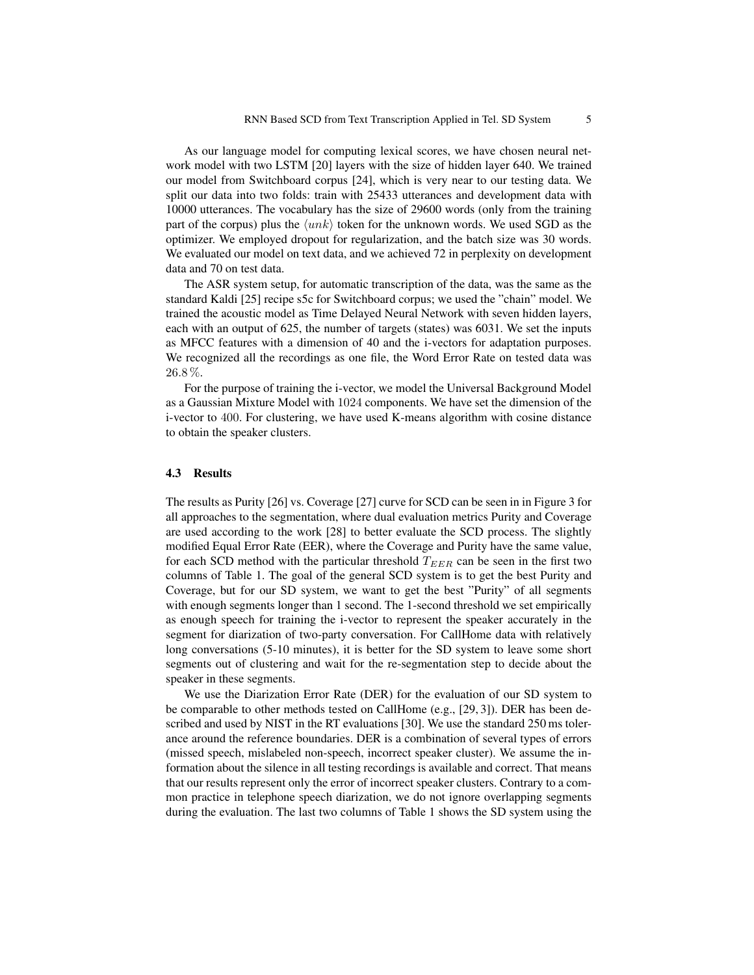As our language model for computing lexical scores, we have chosen neural network model with two LSTM [20] layers with the size of hidden layer 640. We trained our model from Switchboard corpus [24], which is very near to our testing data. We split our data into two folds: train with 25433 utterances and development data with 10000 utterances. The vocabulary has the size of 29600 words (only from the training part of the corpus) plus the  $\langle unk \rangle$  token for the unknown words. We used SGD as the optimizer. We employed dropout for regularization, and the batch size was 30 words. We evaluated our model on text data, and we achieved 72 in perplexity on development data and 70 on test data.

The ASR system setup, for automatic transcription of the data, was the same as the standard Kaldi [25] recipe s5c for Switchboard corpus; we used the "chain" model. We trained the acoustic model as Time Delayed Neural Network with seven hidden layers, each with an output of 625, the number of targets (states) was 6031. We set the inputs as MFCC features with a dimension of 40 and the i-vectors for adaptation purposes. We recognized all the recordings as one file, the Word Error Rate on tested data was 26.8 %.

For the purpose of training the i-vector, we model the Universal Background Model as a Gaussian Mixture Model with 1024 components. We have set the dimension of the i-vector to 400. For clustering, we have used K-means algorithm with cosine distance to obtain the speaker clusters.

#### 4.3 Results

The results as Purity [26] vs. Coverage [27] curve for SCD can be seen in in Figure 3 for all approaches to the segmentation, where dual evaluation metrics Purity and Coverage are used according to the work [28] to better evaluate the SCD process. The slightly modified Equal Error Rate (EER), where the Coverage and Purity have the same value, for each SCD method with the particular threshold  $T_{EER}$  can be seen in the first two columns of Table 1. The goal of the general SCD system is to get the best Purity and Coverage, but for our SD system, we want to get the best "Purity" of all segments with enough segments longer than 1 second. The 1-second threshold we set empirically as enough speech for training the i-vector to represent the speaker accurately in the segment for diarization of two-party conversation. For CallHome data with relatively long conversations (5-10 minutes), it is better for the SD system to leave some short segments out of clustering and wait for the re-segmentation step to decide about the speaker in these segments.

We use the Diarization Error Rate (DER) for the evaluation of our SD system to be comparable to other methods tested on CallHome (e.g., [29, 3]). DER has been described and used by NIST in the RT evaluations [30]. We use the standard 250 ms tolerance around the reference boundaries. DER is a combination of several types of errors (missed speech, mislabeled non-speech, incorrect speaker cluster). We assume the information about the silence in all testing recordings is available and correct. That means that our results represent only the error of incorrect speaker clusters. Contrary to a common practice in telephone speech diarization, we do not ignore overlapping segments during the evaluation. The last two columns of Table 1 shows the SD system using the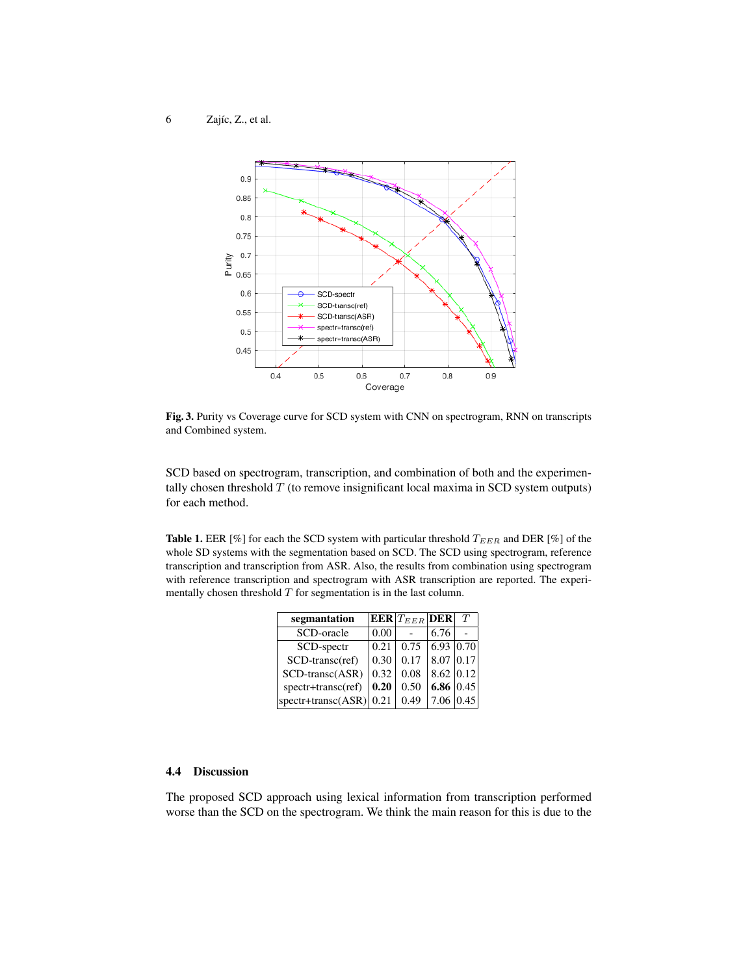6 Zajíc, Z., et al.



Fig. 3. Purity vs Coverage curve for SCD system with CNN on spectrogram, RNN on transcripts and Combined system.

SCD based on spectrogram, transcription, and combination of both and the experimentally chosen threshold  $T$  (to remove insignificant local maxima in SCD system outputs) for each method.

**Table 1.** EER [%] for each the SCD system with particular threshold  $T_{EER}$  and DER [%] of the whole SD systems with the segmentation based on SCD. The SCD using spectrogram, reference transcription and transcription from ASR. Also, the results from combination using spectrogram with reference transcription and spectrogram with ASR transcription are reported. The experimentally chosen threshold  $T$  for segmentation is in the last column.

| segmantation              |      | $EER T_{EER} DER $ |               |  |
|---------------------------|------|--------------------|---------------|--|
| SCD-oracle                | 0.00 |                    | 6.76          |  |
| SCD-spectr                | 0.21 | 0.75               | 6.93   0.70   |  |
| SCD-transc(ref)           | 0.30 | 0.17               | 8.07 0.17     |  |
| SCD-transc(ASR)           | 0.32 | 0.08               | $8.62$ 0.12   |  |
| spectr+transc(ref)        | 0.20 | 0.50               | 6.86 $ 0.45 $ |  |
| $spectr+transc(ASR)$ 0.21 |      | 0.49               | 7.06   0.45   |  |

## 4.4 Discussion

The proposed SCD approach using lexical information from transcription performed worse than the SCD on the spectrogram. We think the main reason for this is due to the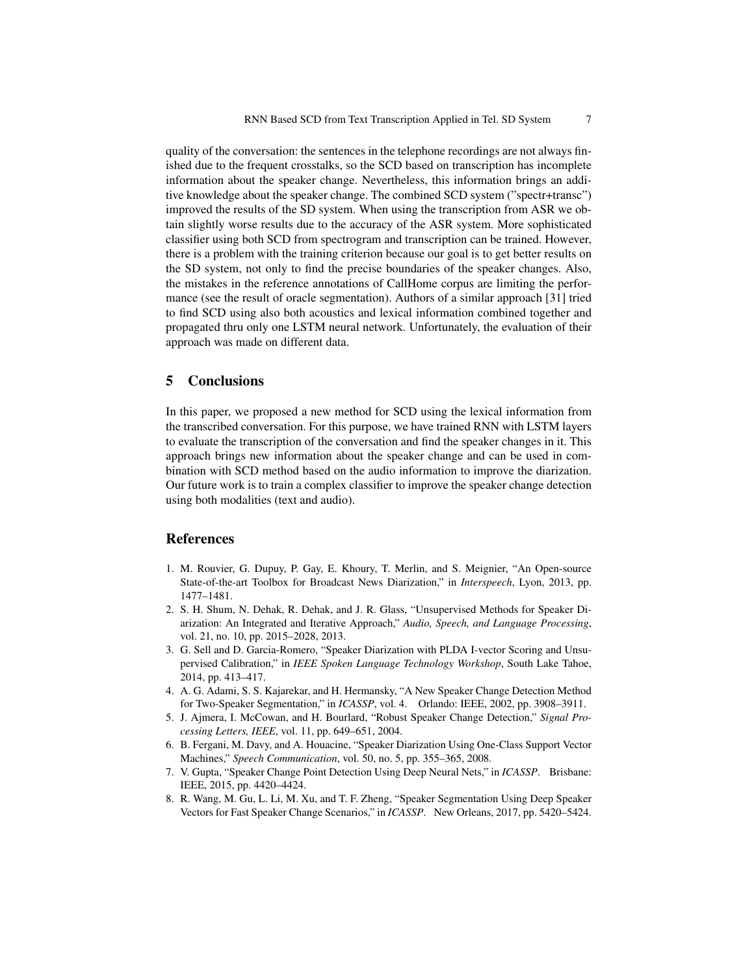quality of the conversation: the sentences in the telephone recordings are not always finished due to the frequent crosstalks, so the SCD based on transcription has incomplete information about the speaker change. Nevertheless, this information brings an additive knowledge about the speaker change. The combined SCD system ("spectr+transc") improved the results of the SD system. When using the transcription from ASR we obtain slightly worse results due to the accuracy of the ASR system. More sophisticated classifier using both SCD from spectrogram and transcription can be trained. However, there is a problem with the training criterion because our goal is to get better results on the SD system, not only to find the precise boundaries of the speaker changes. Also, the mistakes in the reference annotations of CallHome corpus are limiting the performance (see the result of oracle segmentation). Authors of a similar approach [31] tried to find SCD using also both acoustics and lexical information combined together and propagated thru only one LSTM neural network. Unfortunately, the evaluation of their approach was made on different data.

## 5 Conclusions

In this paper, we proposed a new method for SCD using the lexical information from the transcribed conversation. For this purpose, we have trained RNN with LSTM layers to evaluate the transcription of the conversation and find the speaker changes in it. This approach brings new information about the speaker change and can be used in combination with SCD method based on the audio information to improve the diarization. Our future work is to train a complex classifier to improve the speaker change detection using both modalities (text and audio).

## References

- 1. M. Rouvier, G. Dupuy, P. Gay, E. Khoury, T. Merlin, and S. Meignier, "An Open-source State-of-the-art Toolbox for Broadcast News Diarization," in *Interspeech*, Lyon, 2013, pp. 1477–1481.
- 2. S. H. Shum, N. Dehak, R. Dehak, and J. R. Glass, "Unsupervised Methods for Speaker Diarization: An Integrated and Iterative Approach," *Audio, Speech, and Language Processing*, vol. 21, no. 10, pp. 2015–2028, 2013.
- 3. G. Sell and D. Garcia-Romero, "Speaker Diarization with PLDA I-vector Scoring and Unsupervised Calibration," in *IEEE Spoken Language Technology Workshop*, South Lake Tahoe, 2014, pp. 413–417.
- 4. A. G. Adami, S. S. Kajarekar, and H. Hermansky, "A New Speaker Change Detection Method for Two-Speaker Segmentation," in *ICASSP*, vol. 4. Orlando: IEEE, 2002, pp. 3908–3911.
- 5. J. Ajmera, I. McCowan, and H. Bourlard, "Robust Speaker Change Detection," *Signal Processing Letters, IEEE*, vol. 11, pp. 649–651, 2004.
- 6. B. Fergani, M. Davy, and A. Houacine, "Speaker Diarization Using One-Class Support Vector Machines," *Speech Communication*, vol. 50, no. 5, pp. 355–365, 2008.
- 7. V. Gupta, "Speaker Change Point Detection Using Deep Neural Nets," in *ICASSP*. Brisbane: IEEE, 2015, pp. 4420–4424.
- 8. R. Wang, M. Gu, L. Li, M. Xu, and T. F. Zheng, "Speaker Segmentation Using Deep Speaker Vectors for Fast Speaker Change Scenarios," in *ICASSP*. New Orleans, 2017, pp. 5420–5424.